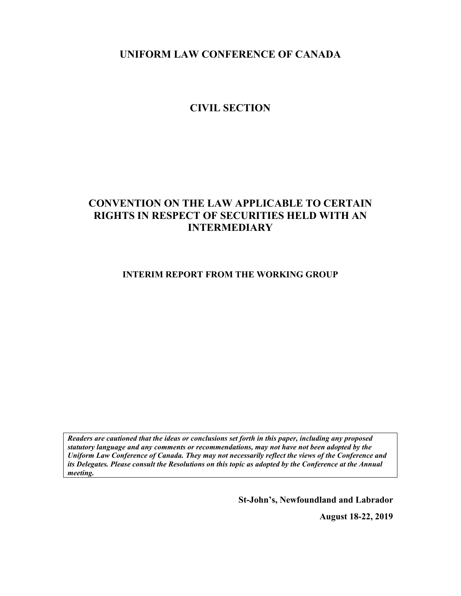**UNIFORM LAW CONFERENCE OF CANADA**

# **CIVIL SECTION**

# **CONVENTION ON THE LAW APPLICABLE TO CERTAIN RIGHTS IN RESPECT OF SECURITIES HELD WITH AN INTERMEDIARY**

**INTERIM REPORT FROM THE WORKING GROUP**

*Readers are cautioned that the ideas or conclusions set forth in this paper, including any proposed statutory language and any comments or recommendations, may not have not been adopted by the Uniform Law Conference of Canada. They may not necessarily reflect the views of the Conference and its Delegates. Please consult the Resolutions on this topic as adopted by the Conference at the Annual meeting.*

**St-John's, Newfoundland and Labrador**

**August 18-22, 2019**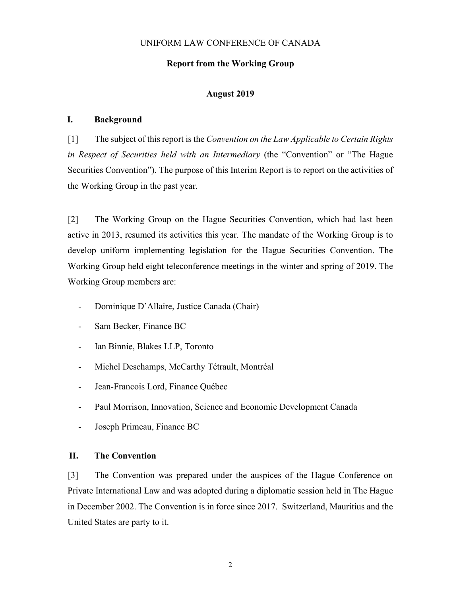# UNIFORM LAW CONFERENCE OF CANADA

### **Report from the Working Group**

#### **August 2019**

# **I. Background**

[1] The subject of this report is the *Convention on the Law Applicable to Certain Rights in Respect of Securities held with an Intermediary* (the "Convention" or "The Hague Securities Convention"). The purpose of this Interim Report is to report on the activities of the Working Group in the past year.

[2] The Working Group on the Hague Securities Convention, which had last been active in 2013, resumed its activities this year. The mandate of the Working Group is to develop uniform implementing legislation for the Hague Securities Convention. The Working Group held eight teleconference meetings in the winter and spring of 2019. The Working Group members are:

- Dominique D'Allaire, Justice Canada (Chair)
- Sam Becker, Finance BC
- Ian Binnie, Blakes LLP, Toronto
- Michel Deschamps, McCarthy Tétrault, Montréal
- Jean-Francois Lord, Finance Québec
- Paul Morrison, Innovation, Science and Economic Development Canada
- Joseph Primeau, Finance BC

# **II. The Convention**

[3] The Convention was prepared under the auspices of the Hague Conference on Private International Law and was adopted during a diplomatic session held in The Hague in December 2002. The Convention is in force since 2017. Switzerland, Mauritius and the United States are party to it.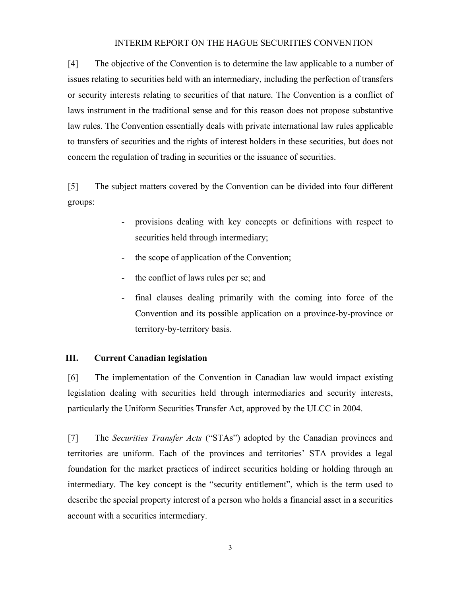#### INTERIM REPORT ON THE HAGUE SECURITIES CONVENTION

[4] The objective of the Convention is to determine the law applicable to a number of issues relating to securities held with an intermediary, including the perfection of transfers or security interests relating to securities of that nature. The Convention is a conflict of laws instrument in the traditional sense and for this reason does not propose substantive law rules. The Convention essentially deals with private international law rules applicable to transfers of securities and the rights of interest holders in these securities, but does not concern the regulation of trading in securities or the issuance of securities.

<span id="page-2-1"></span><span id="page-2-0"></span>[5] The subject matters covered by the Convention can be divided into four different groups:

- provisions dealing with key concepts or definitions with respect to securities held through intermediary;
- the scope of application of the Convention;
- the conflict of laws rules per se; and
- final clauses dealing primarily with the coming into force of the Convention and its possible application on a province-by-province or territory-by-territory basis.

#### **III. Current Canadian legislation**

[6] The implementation of the Convention in Canadian law would impact existing legislation dealing with securities held through intermediaries and security interests, particularly the Uniform Securities Transfer Act, approved by the ULCC in 2004.

[7] The *Securities Transfer Acts* ("STAs") adopted by the Canadian provinces and territories are uniform. Each of the provinces and territories' STA provides a legal foundation for the market practices of indirect securities holding or holding through an intermediary. The key concept is the "security entitlement", which is the term used to describe the special property interest of a person who holds a financial asset in a securities account with a securities intermediary.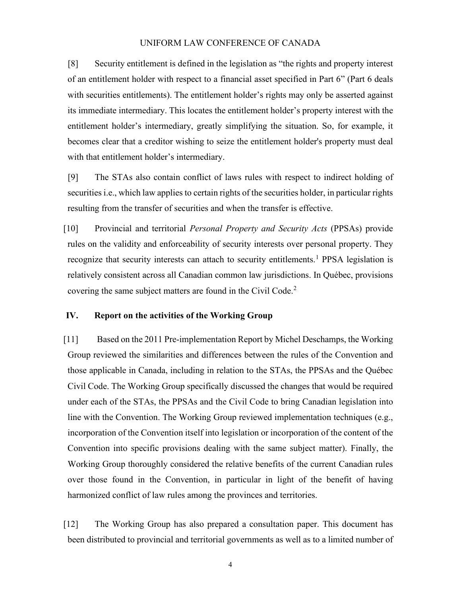#### UNIFORM LAW CONFERENCE OF CANADA

[8] Security entitlement is defined in the legislation as "the rights and property interest of an entitlement holder with respect to a financial asset specified in Part 6" (Part 6 deals with securities entitlements). The entitlement holder's rights may only be asserted against its immediate intermediary. This locates the entitlement holder's property interest with the entitlement holder's intermediary, greatly simplifying the situation. So, for example, it becomes clear that a creditor wishing to seize the entitlement holder's property must deal with that entitlement holder's intermediary.

[9] The STAs also contain conflict of laws rules with respect to indirect holding of securities i.e., which law applies to certain rights of the securities holder, in particular rights resulting from the transfer of securities and when the transfer is effective.

[10] Provincial and territorial *Personal Property and Security Acts* (PPSAs) provide rules on the validity and enforceability of security interests over personal property. They recognize that security interests can attach to security entitlements.<sup>[1](#page-2-0)</sup> PPSA legislation is relatively consistent across all Canadian common law jurisdictions. In Québec, provisions covering the same subject matters are found in the Civil Code.<sup>[2](#page-2-1)</sup>

# **IV. Report on the activities of the Working Group**

[11] Based on the 2011 Pre-implementation Report by Michel Deschamps, the Working Group reviewed the similarities and differences between the rules of the Convention and those applicable in Canada, including in relation to the STAs, the PPSAs and the Québec Civil Code. The Working Group specifically discussed the changes that would be required under each of the STAs, the PPSAs and the Civil Code to bring Canadian legislation into line with the Convention. The Working Group reviewed implementation techniques (e.g., incorporation of the Convention itself into legislation or incorporation of the content of the Convention into specific provisions dealing with the same subject matter). Finally, the Working Group thoroughly considered the relative benefits of the current Canadian rules over those found in the Convention, in particular in light of the benefit of having harmonized conflict of law rules among the provinces and territories.

[12] The Working Group has also prepared a consultation paper. This document has been distributed to provincial and territorial governments as well as to a limited number of